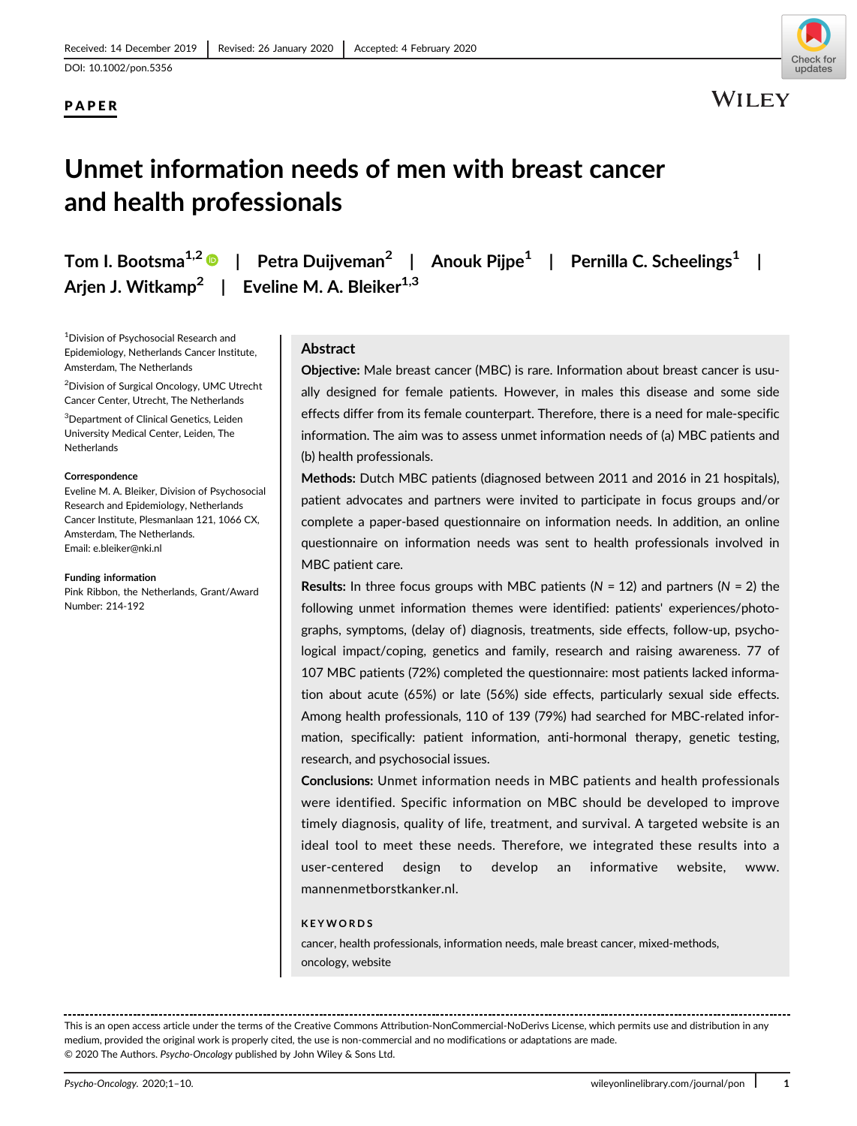DOI: 10.1002/pon.5356

# PAPER



WILEY

# Unmet information needs of men with breast cancer and health professionals

Tom I. Bootsma<sup>1,2</sup> | Petra Duijveman<sup>2</sup> | Anouk Pijpe<sup>1</sup> | Pernilla C. Scheelings<sup>1</sup> | Arjen J. Witkamp<sup>2</sup> | Eveline M. A. Bleiker<sup>1,3</sup>

1 Division of Psychosocial Research and Epidemiology, Netherlands Cancer Institute, Amsterdam, The Netherlands

2 Division of Surgical Oncology, UMC Utrecht Cancer Center, Utrecht, The Netherlands

3 Department of Clinical Genetics, Leiden University Medical Center, Leiden, The **Netherlands** 

#### **Correspondence**

Eveline M. A. Bleiker, Division of Psychosocial Research and Epidemiology, Netherlands Cancer Institute, Plesmanlaan 121, 1066 CX, Amsterdam, The Netherlands. Email: [e.bleiker@nki.nl](mailto:e.bleiker@nki.nl)

#### Funding information

Pink Ribbon, the Netherlands, Grant/Award Number: 214-192

#### Abstract

Objective: Male breast cancer (MBC) is rare. Information about breast cancer is usually designed for female patients. However, in males this disease and some side effects differ from its female counterpart. Therefore, there is a need for male-specific information. The aim was to assess unmet information needs of (a) MBC patients and (b) health professionals.

Methods: Dutch MBC patients (diagnosed between 2011 and 2016 in 21 hospitals), patient advocates and partners were invited to participate in focus groups and/or complete a paper-based questionnaire on information needs. In addition, an online questionnaire on information needs was sent to health professionals involved in MBC patient care.

**Results:** In three focus groups with MBC patients  $(N = 12)$  and partners  $(N = 2)$  the following unmet information themes were identified: patients' experiences/photographs, symptoms, (delay of) diagnosis, treatments, side effects, follow-up, psychological impact/coping, genetics and family, research and raising awareness. 77 of 107 MBC patients (72%) completed the questionnaire: most patients lacked information about acute (65%) or late (56%) side effects, particularly sexual side effects. Among health professionals, 110 of 139 (79%) had searched for MBC-related information, specifically: patient information, anti-hormonal therapy, genetic testing, research, and psychosocial issues.

Conclusions: Unmet information needs in MBC patients and health professionals were identified. Specific information on MBC should be developed to improve timely diagnosis, quality of life, treatment, and survival. A targeted website is an ideal tool to meet these needs. Therefore, we integrated these results into a user-centered design to develop an informative website, [www.](http://www.mannenmetborstkanker.nl) [mannenmetborstkanker.nl](http://www.mannenmetborstkanker.nl).

#### KEYWORDS

cancer, health professionals, information needs, male breast cancer, mixed-methods, oncology, website

This is an open access article under the terms of the [Creative Commons Attribution-NonCommercial-NoDerivs](http://creativecommons.org/licenses/by-nc-nd/4.0/) License, which permits use and distribution in any medium, provided the original work is properly cited, the use is non-commercial and no modifications or adaptations are made. © 2020 The Authors. Psycho-Oncology published by John Wiley & Sons Ltd.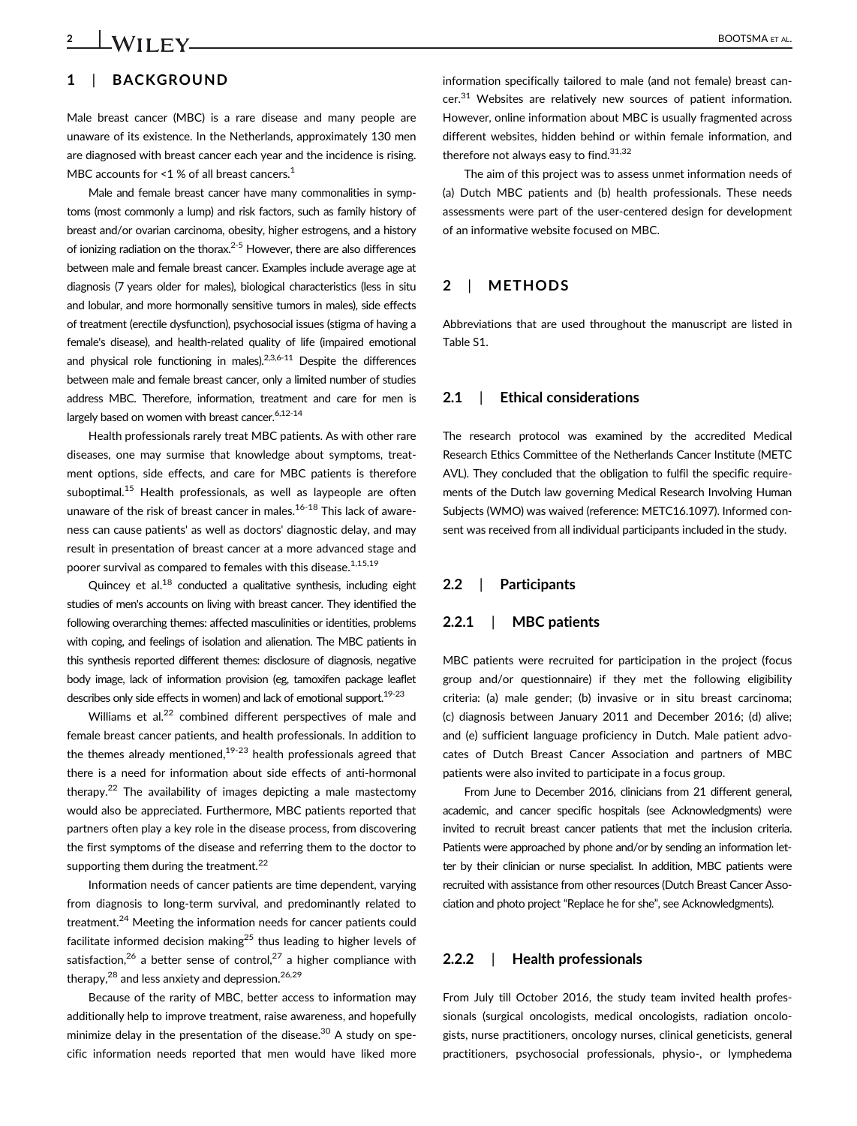# 2 **LWIIFY** BOOTSMA ET AL.

# 1 | BACKGROUND

Male breast cancer (MBC) is a rare disease and many people are unaware of its existence. In the Netherlands, approximately 130 men are diagnosed with breast cancer each year and the incidence is rising. MBC accounts for  $\leq 1$  % of all breast cancers.<sup>1</sup>

Male and female breast cancer have many commonalities in symptoms (most commonly a lump) and risk factors, such as family history of breast and/or ovarian carcinoma, obesity, higher estrogens, and a history of ionizing radiation on the thorax.<sup>2-5</sup> However, there are also differences between male and female breast cancer. Examples include average age at diagnosis (7 years older for males), biological characteristics (less in situ and lobular, and more hormonally sensitive tumors in males), side effects of treatment (erectile dysfunction), psychosocial issues (stigma of having a female's disease), and health-related quality of life (impaired emotional and physical role functioning in males). $2,3,6-11$  Despite the differences between male and female breast cancer, only a limited number of studies address MBC. Therefore, information, treatment and care for men is largely based on women with breast cancer.<sup>6,12-14</sup>

Health professionals rarely treat MBC patients. As with other rare diseases, one may surmise that knowledge about symptoms, treatment options, side effects, and care for MBC patients is therefore suboptimal.<sup>15</sup> Health professionals, as well as laypeople are often unaware of the risk of breast cancer in males.<sup>16-18</sup> This lack of awareness can cause patients' as well as doctors' diagnostic delay, and may result in presentation of breast cancer at a more advanced stage and poorer survival as compared to females with this disease.  $1,15,19$ 

Quincey et al. $^{18}$  conducted a qualitative synthesis, including eight studies of men's accounts on living with breast cancer. They identified the following overarching themes: affected masculinities or identities, problems with coping, and feelings of isolation and alienation. The MBC patients in this synthesis reported different themes: disclosure of diagnosis, negative body image, lack of information provision (eg, tamoxifen package leaflet describes only side effects in women) and lack of emotional support.<sup>19-23</sup>

Williams et al.<sup>22</sup> combined different perspectives of male and female breast cancer patients, and health professionals. In addition to the themes already mentioned, $19-23$  health professionals agreed that there is a need for information about side effects of anti-hormonal therapy.<sup>22</sup> The availability of images depicting a male mastectomy would also be appreciated. Furthermore, MBC patients reported that partners often play a key role in the disease process, from discovering the first symptoms of the disease and referring them to the doctor to supporting them during the treatment.<sup>22</sup>

Information needs of cancer patients are time dependent, varying from diagnosis to long-term survival, and predominantly related to treatment.<sup>24</sup> Meeting the information needs for cancer patients could facilitate informed decision making<sup>25</sup> thus leading to higher levels of satisfaction,<sup>26</sup> a better sense of control,<sup>27</sup> a higher compliance with therapy, $^{28}$  and less anxiety and depression. $^{26,29}$ 

Because of the rarity of MBC, better access to information may additionally help to improve treatment, raise awareness, and hopefully minimize delay in the presentation of the disease.<sup>30</sup> A study on specific information needs reported that men would have liked more information specifically tailored to male (and not female) breast can $cer.<sup>31</sup>$  Websites are relatively new sources of patient information. However, online information about MBC is usually fragmented across different websites, hidden behind or within female information, and therefore not always easy to find. $31,32$ 

The aim of this project was to assess unmet information needs of (a) Dutch MBC patients and (b) health professionals. These needs assessments were part of the user-centered design for development of an informative website focused on MBC.

#### 2 | METHODS

Abbreviations that are used throughout the manuscript are listed in Table S1.

#### 2.1 | Ethical considerations

The research protocol was examined by the accredited Medical Research Ethics Committee of the Netherlands Cancer Institute (METC AVL). They concluded that the obligation to fulfil the specific requirements of the Dutch law governing Medical Research Involving Human Subjects (WMO) was waived (reference: METC16.1097). Informed consent was received from all individual participants included in the study.

#### 2.2 | Participants

#### 2.2.1 | MBC patients

MBC patients were recruited for participation in the project (focus group and/or questionnaire) if they met the following eligibility criteria: (a) male gender; (b) invasive or in situ breast carcinoma; (c) diagnosis between January 2011 and December 2016; (d) alive; and (e) sufficient language proficiency in Dutch. Male patient advocates of Dutch Breast Cancer Association and partners of MBC patients were also invited to participate in a focus group.

From June to December 2016, clinicians from 21 different general, academic, and cancer specific hospitals (see Acknowledgments) were invited to recruit breast cancer patients that met the inclusion criteria. Patients were approached by phone and/or by sending an information letter by their clinician or nurse specialist. In addition, MBC patients were recruited with assistance from other resources (Dutch Breast Cancer Association and photo project "Replace he for she", see Acknowledgments).

#### 2.2.2 | Health professionals

From July till October 2016, the study team invited health professionals (surgical oncologists, medical oncologists, radiation oncologists, nurse practitioners, oncology nurses, clinical geneticists, general practitioners, psychosocial professionals, physio-, or lymphedema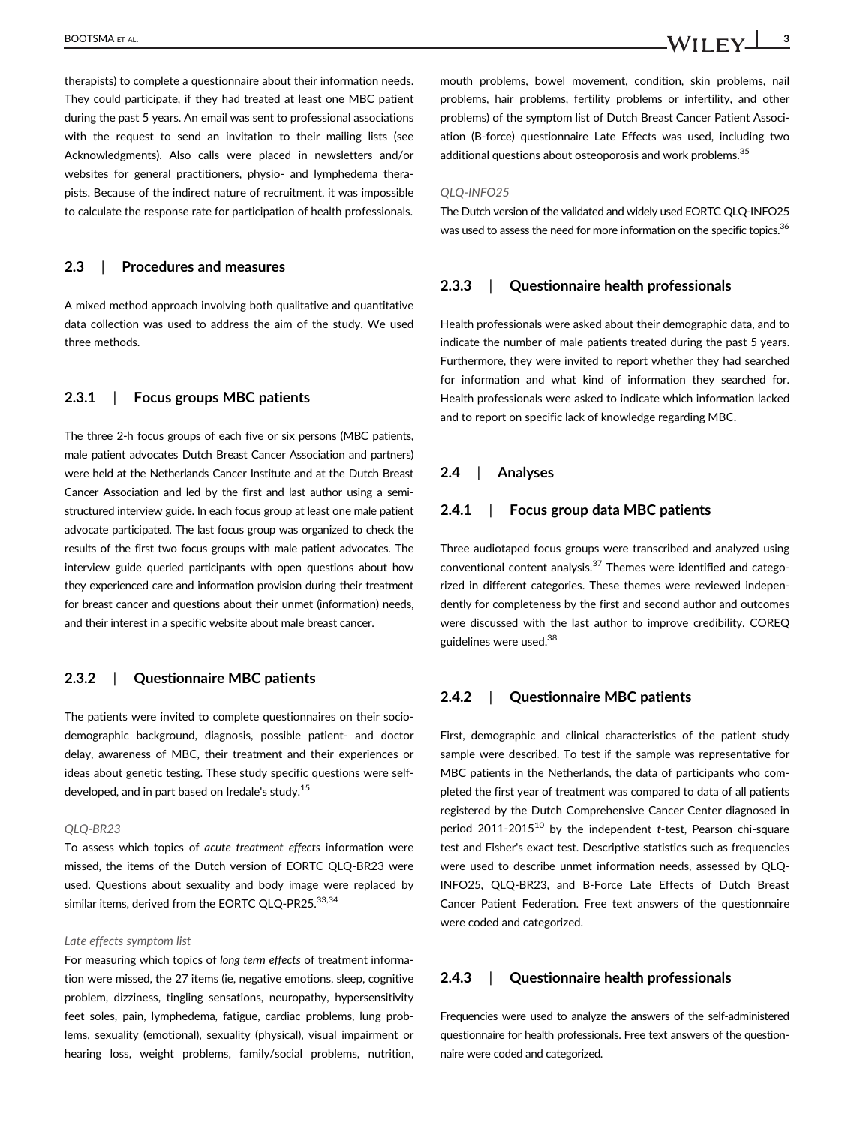therapists) to complete a questionnaire about their information needs. They could participate, if they had treated at least one MBC patient during the past 5 years. An email was sent to professional associations with the request to send an invitation to their mailing lists (see Acknowledgments). Also calls were placed in newsletters and/or websites for general practitioners, physio- and lymphedema therapists. Because of the indirect nature of recruitment, it was impossible to calculate the response rate for participation of health professionals.

#### 2.3 | Procedures and measures

A mixed method approach involving both qualitative and quantitative data collection was used to address the aim of the study. We used three methods.

# 2.3.1 | Focus groups MBC patients

The three 2-h focus groups of each five or six persons (MBC patients, male patient advocates Dutch Breast Cancer Association and partners) were held at the Netherlands Cancer Institute and at the Dutch Breast Cancer Association and led by the first and last author using a semistructured interview guide. In each focus group at least one male patient advocate participated. The last focus group was organized to check the results of the first two focus groups with male patient advocates. The interview guide queried participants with open questions about how they experienced care and information provision during their treatment for breast cancer and questions about their unmet (information) needs, and their interest in a specific website about male breast cancer.

#### 2.3.2 | Questionnaire MBC patients

The patients were invited to complete questionnaires on their sociodemographic background, diagnosis, possible patient- and doctor delay, awareness of MBC, their treatment and their experiences or ideas about genetic testing. These study specific questions were selfdeveloped, and in part based on Iredale's study.15

#### QLQ-BR23

To assess which topics of acute treatment effects information were missed, the items of the Dutch version of EORTC QLQ-BR23 were used. Questions about sexuality and body image were replaced by similar items, derived from the EORTC QLQ-PR25.<sup>33,34</sup>

#### Late effects symptom list

For measuring which topics of long term effects of treatment information were missed, the 27 items (ie, negative emotions, sleep, cognitive problem, dizziness, tingling sensations, neuropathy, hypersensitivity feet soles, pain, lymphedema, fatigue, cardiac problems, lung problems, sexuality (emotional), sexuality (physical), visual impairment or hearing loss, weight problems, family/social problems, nutrition, mouth problems, bowel movement, condition, skin problems, nail problems, hair problems, fertility problems or infertility, and other problems) of the symptom list of Dutch Breast Cancer Patient Association (B-force) questionnaire Late Effects was used, including two additional questions about osteoporosis and work problems.<sup>35</sup>

#### QLQ-INFO25

The Dutch version of the validated and widely used EORTC QLQ-INFO25 was used to assess the need for more information on the specific topics.<sup>36</sup>

#### 2.3.3 | Questionnaire health professionals

Health professionals were asked about their demographic data, and to indicate the number of male patients treated during the past 5 years. Furthermore, they were invited to report whether they had searched for information and what kind of information they searched for. Health professionals were asked to indicate which information lacked and to report on specific lack of knowledge regarding MBC.

#### 2.4 | Analyses

#### 2.4.1 | Focus group data MBC patients

Three audiotaped focus groups were transcribed and analyzed using conventional content analysis.37 Themes were identified and categorized in different categories. These themes were reviewed independently for completeness by the first and second author and outcomes were discussed with the last author to improve credibility. COREQ guidelines were used.38

#### 2.4.2 | Questionnaire MBC patients

First, demographic and clinical characteristics of the patient study sample were described. To test if the sample was representative for MBC patients in the Netherlands, the data of participants who completed the first year of treatment was compared to data of all patients registered by the Dutch Comprehensive Cancer Center diagnosed in period 2011-2015<sup>10</sup> by the independent t-test, Pearson chi-square test and Fisher's exact test. Descriptive statistics such as frequencies were used to describe unmet information needs, assessed by QLQ-INFO25, QLQ-BR23, and B-Force Late Effects of Dutch Breast Cancer Patient Federation. Free text answers of the questionnaire were coded and categorized.

#### 2.4.3 | Questionnaire health professionals

Frequencies were used to analyze the answers of the self-administered questionnaire for health professionals. Free text answers of the questionnaire were coded and categorized.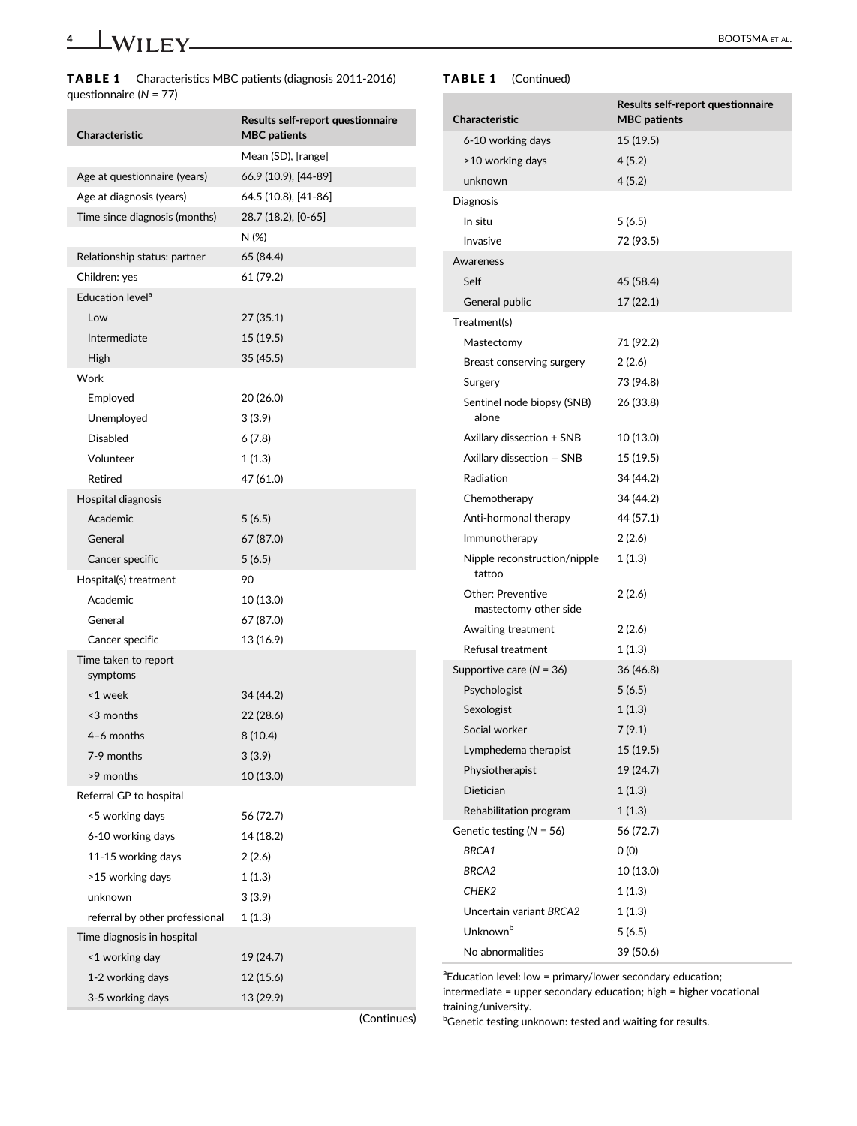| <b>Characteristic</b>            | Results self-report questionnaire<br><b>MBC</b> patients |
|----------------------------------|----------------------------------------------------------|
|                                  | Mean (SD), [range]                                       |
| Age at questionnaire (years)     | 66.9 (10.9), [44-89]                                     |
| Age at diagnosis (years)         | 64.5 (10.8), [41-86]                                     |
| Time since diagnosis (months)    | 28.7 (18.2), [0-65]                                      |
|                                  | N (%)                                                    |
| Relationship status: partner     | 65 (84.4)                                                |
| Children: yes                    | 61 (79.2)                                                |
| Education level <sup>a</sup>     |                                                          |
| Low                              | 27 (35.1)                                                |
| Intermediate                     | 15 (19.5)                                                |
| High                             | 35 (45.5)                                                |
| Work                             |                                                          |
| Employed                         | 20 (26.0)                                                |
| Unemployed                       | 3(3.9)                                                   |
| Disabled                         | 6(7.8)                                                   |
| Volunteer                        | 1(1.3)                                                   |
| Retired                          | 47 (61.0)                                                |
| Hospital diagnosis               |                                                          |
| Academic                         | 5(6.5)                                                   |
| General                          | 67 (87.0)                                                |
| Cancer specific                  | 5(6.5)                                                   |
| Hospital(s) treatment            | 90                                                       |
| Academic                         | 10 (13.0)                                                |
| General                          | 67 (87.0)                                                |
| Cancer specific                  | 13 (16.9)                                                |
| Time taken to report<br>symptoms |                                                          |
| <1 week                          | 34 (44.2)                                                |
| <3 months                        | 22 (28.6)                                                |
| 4-6 months                       | 8(10.4)                                                  |
| 7-9 months                       | 3(3.9)                                                   |
| >9 months                        | 10 (13.0)                                                |
| Referral GP to hospital          |                                                          |
| <5 working days                  | 56 (72.7)                                                |
| 6-10 working days                | 14 (18.2)                                                |
| 11-15 working days               | 2 (2.6)                                                  |
| >15 working days                 | 1(1.3)                                                   |
| unknown                          | 3(3.9)                                                   |
| referral by other professional   | 1 (1.3)                                                  |
| Time diagnosis in hospital       |                                                          |
| <1 working day                   | 19 (24.7)                                                |
| 1-2 working days                 | 12 (15.6)                                                |
| 3-5 working days                 | 13 (29.9)                                                |
|                                  |                                                          |

# TABLE 1 (Continued)

| Characteristic                                    | Results self-report questionnaire<br><b>MBC</b> patients |
|---------------------------------------------------|----------------------------------------------------------|
|                                                   |                                                          |
| 6-10 working days                                 | 15 (19.5)                                                |
| >10 working days                                  | 4(5.2)                                                   |
| unknown                                           | 4(5.2)                                                   |
| Diagnosis                                         |                                                          |
| In situ                                           | 5(6.5)                                                   |
| Invasive                                          | 72 (93.5)                                                |
| Awareness                                         |                                                          |
| Self                                              | 45 (58.4)                                                |
| General public                                    | 17 (22.1)                                                |
| Treatment(s)                                      |                                                          |
| Mastectomy                                        | 71 (92.2)                                                |
| Breast conserving surgery                         | 2(2.6)                                                   |
| Surgery                                           | 73 (94.8)                                                |
| Sentinel node biopsy (SNB)<br>alone               | 26 (33.8)                                                |
| Axillary dissection + SNB                         | 10 (13.0)                                                |
| Axillary dissection - SNB                         | 15 (19.5)                                                |
| Radiation                                         | 34 (44.2)                                                |
| Chemotherapy                                      | 34 (44.2)                                                |
| Anti-hormonal therapy                             | 44 (57.1)                                                |
| Immunotherapy                                     | 2(2.6)                                                   |
| Nipple reconstruction/nipple<br>tattoo            | 1 (1.3)                                                  |
| <b>Other: Preventive</b><br>mastectomy other side | 2(2.6)                                                   |
| Awaiting treatment                                | 2(2.6)                                                   |
| Refusal treatment                                 | 1(1.3)                                                   |
| Supportive care ( $N = 36$ )                      | 36 (46.8)                                                |
| Psychologist                                      | 5(6.5)                                                   |
| Sexologist                                        | 1(1.3)                                                   |
| Social worker                                     | 7(9.1)                                                   |
| Lymphedema therapist                              | 15 (19.5)                                                |
| Physiotherapist                                   | 19 (24.7)                                                |
| Dietician                                         | 1(1.3)                                                   |
| Rehabilitation program                            | 1(1.3)                                                   |
| Genetic testing ( $N = 56$ )                      | 56 (72.7)                                                |
| BRCA1                                             | 0(0)                                                     |
| BRCA2                                             | 10 (13.0)                                                |
| CHEK2                                             | 1(1.3)                                                   |
| Uncertain variant BRCA2                           | 1(1.3)                                                   |
| Unknown <sup>b</sup>                              | 5(6.5)                                                   |
| No abnormalities                                  | 39 (50.6)                                                |

<sup>a</sup> Education level: low = primary/lower secondary education; intermediate = upper secondary education; high = higher vocational training/university.

(Continues)

**bGenetic testing unknown: tested and waiting for results.**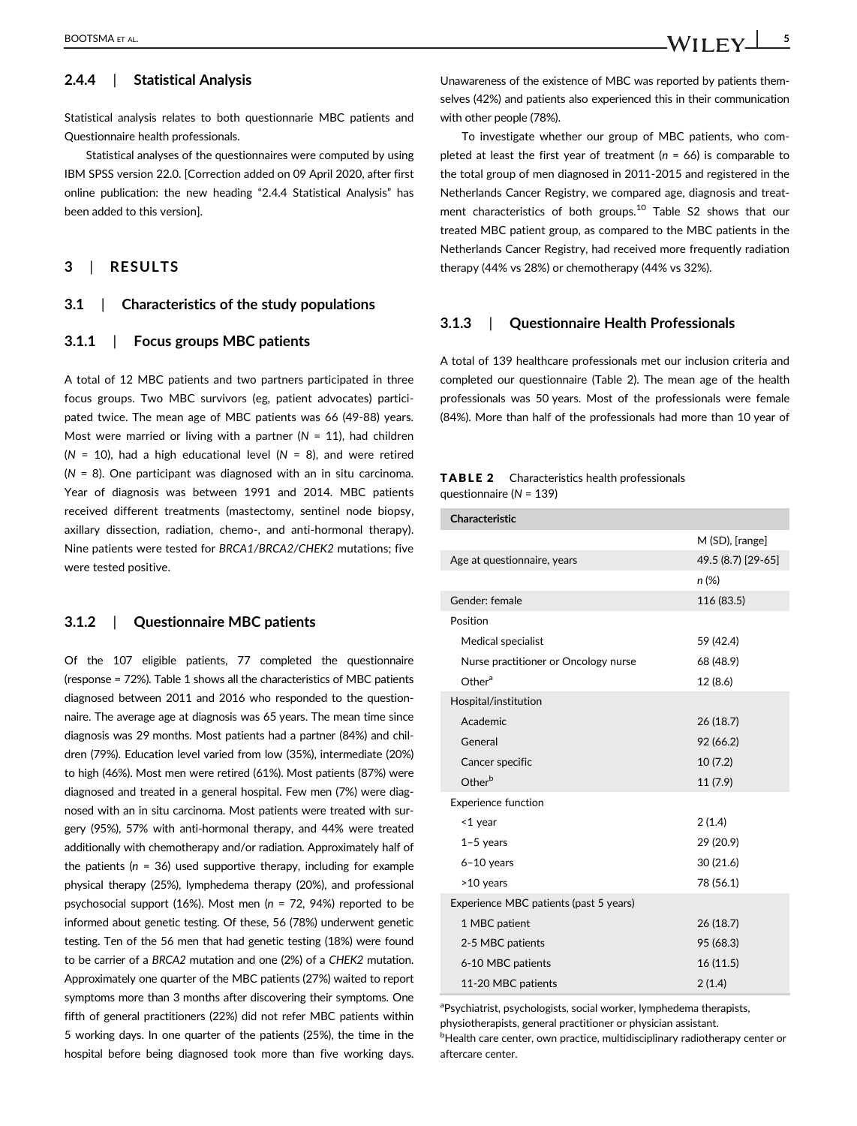# 2.4.4 | Statistical Analysis

Statistical analysis relates to both questionnarie MBC patients and Questionnaire health professionals.

Statistical analyses of the questionnaires were computed by using IBM SPSS version 22.0. [Correction added on 09 April 2020, after first online publication: the new heading "2.4.4 Statistical Analysis" has been added to this version].

# 3 | RESULTS

#### 3.1 | Characteristics of the study populations

#### 3.1.1 | Focus groups MBC patients

A total of 12 MBC patients and two partners participated in three focus groups. Two MBC survivors (eg, patient advocates) participated twice. The mean age of MBC patients was 66 (49-88) years. Most were married or living with a partner ( $N = 11$ ), had children ( $N = 10$ ), had a high educational level ( $N = 8$ ), and were retired  $(N = 8)$ . One participant was diagnosed with an in situ carcinoma. Year of diagnosis was between 1991 and 2014. MBC patients received different treatments (mastectomy, sentinel node biopsy, axillary dissection, radiation, chemo-, and anti-hormonal therapy). Nine patients were tested for BRCA1/BRCA2/CHEK2 mutations; five were tested positive.

#### 3.1.2 | Questionnaire MBC patients

Of the 107 eligible patients, 77 completed the questionnaire (response = 72%). Table 1 shows all the characteristics of MBC patients diagnosed between 2011 and 2016 who responded to the questionnaire. The average age at diagnosis was 65 years. The mean time since diagnosis was 29 months. Most patients had a partner (84%) and children (79%). Education level varied from low (35%), intermediate (20%) to high (46%). Most men were retired (61%). Most patients (87%) were diagnosed and treated in a general hospital. Few men (7%) were diagnosed with an in situ carcinoma. Most patients were treated with surgery (95%), 57% with anti-hormonal therapy, and 44% were treated additionally with chemotherapy and/or radiation. Approximately half of the patients ( $n = 36$ ) used supportive therapy, including for example physical therapy (25%), lymphedema therapy (20%), and professional psychosocial support (16%). Most men ( $n = 72$ , 94%) reported to be informed about genetic testing. Of these, 56 (78%) underwent genetic testing. Ten of the 56 men that had genetic testing (18%) were found to be carrier of a BRCA2 mutation and one (2%) of a CHEK2 mutation. Approximately one quarter of the MBC patients (27%) waited to report symptoms more than 3 months after discovering their symptoms. One fifth of general practitioners (22%) did not refer MBC patients within 5 working days. In one quarter of the patients (25%), the time in the hospital before being diagnosed took more than five working days. Unawareness of the existence of MBC was reported by patients themselves (42%) and patients also experienced this in their communication with other people (78%).

To investigate whether our group of MBC patients, who completed at least the first year of treatment ( $n = 66$ ) is comparable to the total group of men diagnosed in 2011-2015 and registered in the Netherlands Cancer Registry, we compared age, diagnosis and treatment characteristics of both groups.<sup>10</sup> Table S2 shows that our treated MBC patient group, as compared to the MBC patients in the Netherlands Cancer Registry, had received more frequently radiation therapy (44% vs 28%) or chemotherapy (44% vs 32%).

#### 3.1.3 | Questionnaire Health Professionals

A total of 139 healthcare professionals met our inclusion criteria and completed our questionnaire (Table 2). The mean age of the health professionals was 50 years. Most of the professionals were female (84%). More than half of the professionals had more than 10 year of

#### TABLE 2 Characteristics health professionals questionnaire (N = 139)

| <b>Characteristic</b>                  |                    |
|----------------------------------------|--------------------|
|                                        | M (SD), [range]    |
| Age at questionnaire, years            | 49.5 (8.7) [29-65] |
|                                        | n (%)              |
| Gender: female                         | 116 (83.5)         |
| Position                               |                    |
| Medical specialist                     | 59 (42.4)          |
| Nurse practitioner or Oncology nurse   | 68 (48.9)          |
| Other <sup>a</sup>                     | 12 (8.6)           |
| Hospital/institution                   |                    |
| Academic                               | 26(18.7)           |
| General                                | 92 (66.2)          |
| Cancer specific                        | 10(7.2)            |
| Other <sup>b</sup>                     | 11(7.9)            |
| <b>Experience function</b>             |                    |
| <1 year                                | 2(1.4)             |
| $1-5$ years                            | 29 (20.9)          |
| $6-10$ years                           | 30 (21.6)          |
| >10 years                              | 78 (56.1)          |
| Experience MBC patients (past 5 years) |                    |
| 1 MBC patient                          | 26 (18.7)          |
| 2-5 MBC patients                       | 95 (68.3)          |
| 6-10 MBC patients                      | 16(11.5)           |
| 11-20 MBC patients                     | 2(1.4)             |

aPsychiatrist, psychologists, social worker, lymphedema therapists, physiotherapists, general practitioner or physician assistant. **bHealth care center, own practice, multidisciplinary radiotherapy center or** 

aftercare center.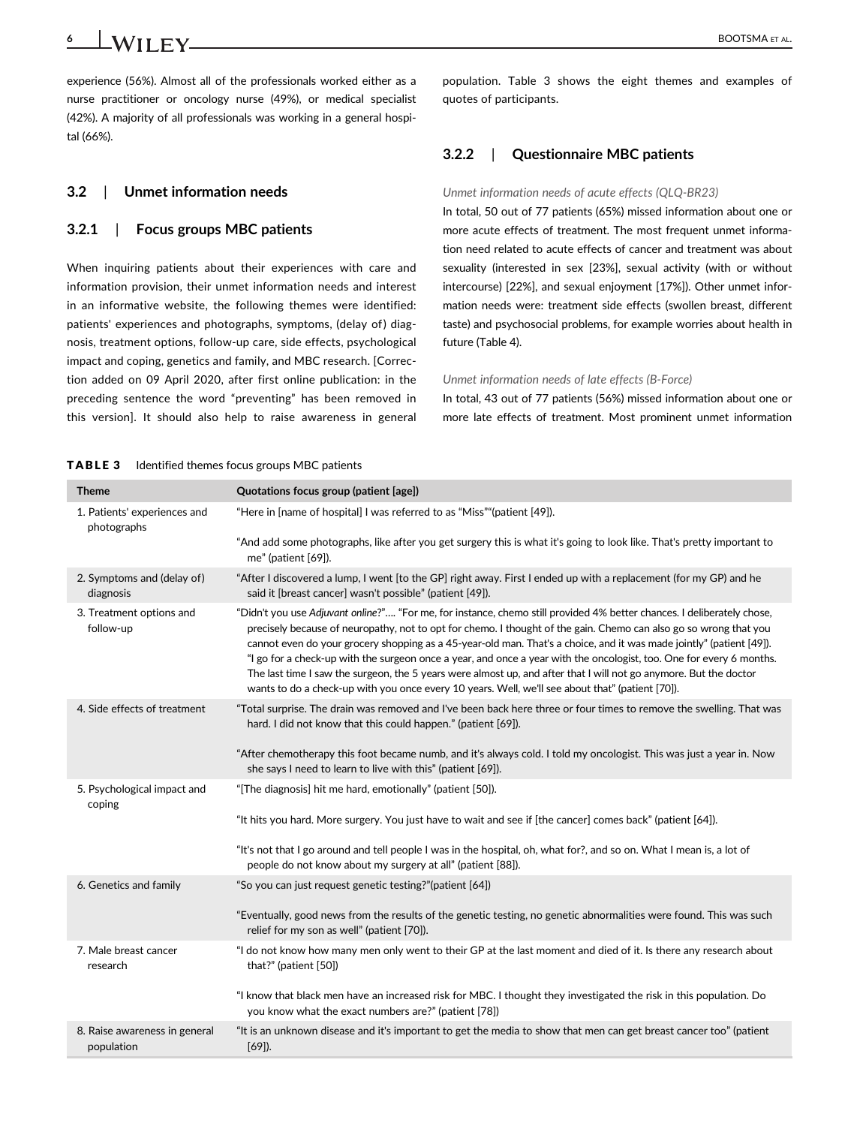6 **LWIIFY** BOOTSMA ET AL.

experience (56%). Almost all of the professionals worked either as a nurse practitioner or oncology nurse (49%), or medical specialist (42%). A majority of all professionals was working in a general hospital (66%).

### 3.2 | Unmet information needs

#### 3.2.1 | Focus groups MBC patients

When inquiring patients about their experiences with care and information provision, their unmet information needs and interest in an informative website, the following themes were identified: patients' experiences and photographs, symptoms, (delay of) diagnosis, treatment options, follow-up care, side effects, psychological impact and coping, genetics and family, and MBC research. [Correction added on 09 April 2020, after first online publication: in the preceding sentence the word "preventing" has been removed in this version]. It should also help to raise awareness in general population. Table 3 shows the eight themes and examples of quotes of participants.

# 3.2.2 | Questionnaire MBC patients

#### Unmet information needs of acute effects (QLQ-BR23)

In total, 50 out of 77 patients (65%) missed information about one or more acute effects of treatment. The most frequent unmet information need related to acute effects of cancer and treatment was about sexuality (interested in sex [23%], sexual activity (with or without intercourse) [22%], and sexual enjoyment [17%]). Other unmet information needs were: treatment side effects (swollen breast, different taste) and psychosocial problems, for example worries about health in future (Table 4).

#### Unmet information needs of late effects (B-Force)

In total, 43 out of 77 patients (56%) missed information about one or more late effects of treatment. Most prominent unmet information

#### TABLE 3 Identified themes focus groups MBC patients

| <b>Theme</b>                                | Quotations focus group (patient [age])                                                                                                                                                                                                                                                                                                                                                                                                                                                                                                                                                                                                                                                                               |
|---------------------------------------------|----------------------------------------------------------------------------------------------------------------------------------------------------------------------------------------------------------------------------------------------------------------------------------------------------------------------------------------------------------------------------------------------------------------------------------------------------------------------------------------------------------------------------------------------------------------------------------------------------------------------------------------------------------------------------------------------------------------------|
| 1. Patients' experiences and<br>photographs | "Here in [name of hospital] I was referred to as "Miss""(patient [49]).                                                                                                                                                                                                                                                                                                                                                                                                                                                                                                                                                                                                                                              |
|                                             | "And add some photographs, like after you get surgery this is what it's going to look like. That's pretty important to<br>me" (patient [69]).                                                                                                                                                                                                                                                                                                                                                                                                                                                                                                                                                                        |
| 2. Symptoms and (delay of)<br>diagnosis     | "After I discovered a lump, I went [to the GP] right away. First I ended up with a replacement (for my GP) and he<br>said it [breast cancer] wasn't possible" (patient [49]).                                                                                                                                                                                                                                                                                                                                                                                                                                                                                                                                        |
| 3. Treatment options and<br>follow-up       | "Didn't you use Adjuvant online?" "For me, for instance, chemo still provided 4% better chances. I deliberately chose,<br>precisely because of neuropathy, not to opt for chemo. I thought of the gain. Chemo can also go so wrong that you<br>cannot even do your grocery shopping as a 45-year-old man. That's a choice, and it was made jointly" (patient [49]).<br>"I go for a check-up with the surgeon once a year, and once a year with the oncologist, too. One for every 6 months.<br>The last time I saw the surgeon, the 5 years were almost up, and after that I will not go anymore. But the doctor<br>wants to do a check-up with you once every 10 years. Well, we'll see about that" (patient [70]). |
| 4. Side effects of treatment                | "Total surprise. The drain was removed and I've been back here three or four times to remove the swelling. That was<br>hard. I did not know that this could happen." (patient [69]).                                                                                                                                                                                                                                                                                                                                                                                                                                                                                                                                 |
|                                             | "After chemotherapy this foot became numb, and it's always cold. I told my oncologist. This was just a year in. Now<br>she says I need to learn to live with this" (patient [69]).                                                                                                                                                                                                                                                                                                                                                                                                                                                                                                                                   |
| 5. Psychological impact and<br>coping       | "[The diagnosis] hit me hard, emotionally" (patient [50]).                                                                                                                                                                                                                                                                                                                                                                                                                                                                                                                                                                                                                                                           |
|                                             | "It hits you hard. More surgery. You just have to wait and see if [the cancer] comes back" (patient [64]).                                                                                                                                                                                                                                                                                                                                                                                                                                                                                                                                                                                                           |
|                                             | "It's not that I go around and tell people I was in the hospital, oh, what for?, and so on. What I mean is, a lot of<br>people do not know about my surgery at all" (patient [88]).                                                                                                                                                                                                                                                                                                                                                                                                                                                                                                                                  |
| 6. Genetics and family                      | "So you can just request genetic testing?"(patient [64])                                                                                                                                                                                                                                                                                                                                                                                                                                                                                                                                                                                                                                                             |
|                                             | "Eventually, good news from the results of the genetic testing, no genetic abnormalities were found. This was such<br>relief for my son as well" (patient [70]).                                                                                                                                                                                                                                                                                                                                                                                                                                                                                                                                                     |
| 7. Male breast cancer<br>research           | "I do not know how many men only went to their GP at the last moment and died of it. Is there any research about<br>that?" (patient [50])                                                                                                                                                                                                                                                                                                                                                                                                                                                                                                                                                                            |
|                                             | "I know that black men have an increased risk for MBC. I thought they investigated the risk in this population. Do<br>you know what the exact numbers are?" (patient [78])                                                                                                                                                                                                                                                                                                                                                                                                                                                                                                                                           |
| 8. Raise awareness in general<br>population | "It is an unknown disease and it's important to get the media to show that men can get breast cancer too" (patient<br>$[69]$ ).                                                                                                                                                                                                                                                                                                                                                                                                                                                                                                                                                                                      |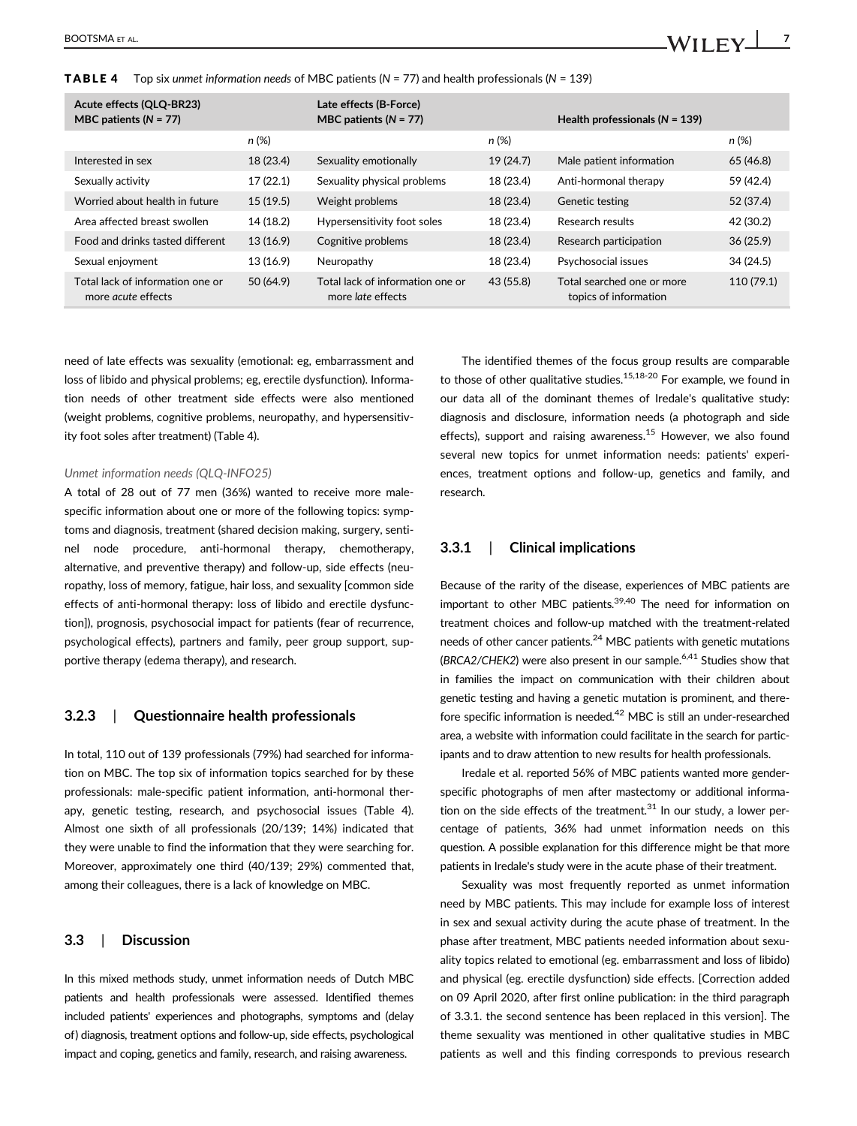**TABLE 4** Top six unmet information needs of MBC patients ( $N = 77$ ) and health professionals ( $N = 139$ )

| Acute effects (QLQ-BR23)<br>MBC patients $(N = 77)$           |           | Late effects (B-Force)<br>MBC patients $(N = 77)$            |           | Health professionals $(N = 139)$                    |            |
|---------------------------------------------------------------|-----------|--------------------------------------------------------------|-----------|-----------------------------------------------------|------------|
|                                                               | n (%)     |                                                              | n (%)     |                                                     | n (%)      |
| Interested in sex                                             | 18 (23.4) | Sexuality emotionally                                        | 19(24.7)  | Male patient information                            | 65 (46.8)  |
| Sexually activity                                             | 17(22.1)  | Sexuality physical problems                                  | 18 (23.4) | Anti-hormonal therapy                               | 59 (42.4)  |
| Worried about health in future                                | 15(19.5)  | Weight problems                                              | 18 (23.4) | <b>Genetic testing</b>                              | 52 (37.4)  |
| Area affected breast swollen                                  | 14 (18.2) | Hypersensitivity foot soles                                  | 18 (23.4) | Research results                                    | 42 (30.2)  |
| Food and drinks tasted different                              | 13 (16.9) | Cognitive problems                                           | 18 (23.4) | Research participation                              | 36(25.9)   |
| Sexual enjoyment                                              | 13 (16.9) | Neuropathy                                                   | 18 (23.4) | Psychosocial issues                                 | 34 (24.5)  |
| Total lack of information one or<br>more <i>acute</i> effects | 50 (64.9) | Total lack of information one or<br>more <i>late</i> effects | 43 (55.8) | Total searched one or more<br>topics of information | 110 (79.1) |

need of late effects was sexuality (emotional: eg, embarrassment and loss of libido and physical problems; eg, erectile dysfunction). Information needs of other treatment side effects were also mentioned (weight problems, cognitive problems, neuropathy, and hypersensitivity foot soles after treatment) (Table 4).

#### Unmet information needs (QLQ-INFO25)

A total of 28 out of 77 men (36%) wanted to receive more malespecific information about one or more of the following topics: symptoms and diagnosis, treatment (shared decision making, surgery, sentinel node procedure, anti-hormonal therapy, chemotherapy, alternative, and preventive therapy) and follow-up, side effects (neuropathy, loss of memory, fatigue, hair loss, and sexuality [common side effects of anti-hormonal therapy: loss of libido and erectile dysfunction]), prognosis, psychosocial impact for patients (fear of recurrence, psychological effects), partners and family, peer group support, supportive therapy (edema therapy), and research.

#### 3.2.3 | Questionnaire health professionals

In total, 110 out of 139 professionals (79%) had searched for information on MBC. The top six of information topics searched for by these professionals: male-specific patient information, anti-hormonal therapy, genetic testing, research, and psychosocial issues (Table 4). Almost one sixth of all professionals (20/139; 14%) indicated that they were unable to find the information that they were searching for. Moreover, approximately one third (40/139; 29%) commented that, among their colleagues, there is a lack of knowledge on MBC.

#### 3.3 | Discussion

In this mixed methods study, unmet information needs of Dutch MBC patients and health professionals were assessed. Identified themes included patients' experiences and photographs, symptoms and (delay of) diagnosis, treatment options and follow-up, side effects, psychological impact and coping, genetics and family, research, and raising awareness.

The identified themes of the focus group results are comparable to those of other qualitative studies.<sup>15,18-20</sup> For example, we found in our data all of the dominant themes of Iredale's qualitative study: diagnosis and disclosure, information needs (a photograph and side effects), support and raising awareness.<sup>15</sup> However, we also found several new topics for unmet information needs: patients' experiences, treatment options and follow-up, genetics and family, and research.

# 3.3.1 | Clinical implications

Because of the rarity of the disease, experiences of MBC patients are important to other MBC patients. $39,40$  The need for information on treatment choices and follow-up matched with the treatment-related needs of other cancer patients.<sup>24</sup> MBC patients with genetic mutations (BRCA2/CHEK2) were also present in our sample.<sup>6,41</sup> Studies show that in families the impact on communication with their children about genetic testing and having a genetic mutation is prominent, and therefore specific information is needed.<sup>42</sup> MBC is still an under-researched area, a website with information could facilitate in the search for participants and to draw attention to new results for health professionals.

Iredale et al. reported 56% of MBC patients wanted more genderspecific photographs of men after mastectomy or additional information on the side effects of the treatment. $31$  In our study, a lower percentage of patients, 36% had unmet information needs on this question. A possible explanation for this difference might be that more patients in Iredale's study were in the acute phase of their treatment.

Sexuality was most frequently reported as unmet information need by MBC patients. This may include for example loss of interest in sex and sexual activity during the acute phase of treatment. In the phase after treatment, MBC patients needed information about sexuality topics related to emotional (eg. embarrassment and loss of libido) and physical (eg. erectile dysfunction) side effects. [Correction added on 09 April 2020, after first online publication: in the third paragraph of 3.3.1. the second sentence has been replaced in this version]. The theme sexuality was mentioned in other qualitative studies in MBC patients as well and this finding corresponds to previous research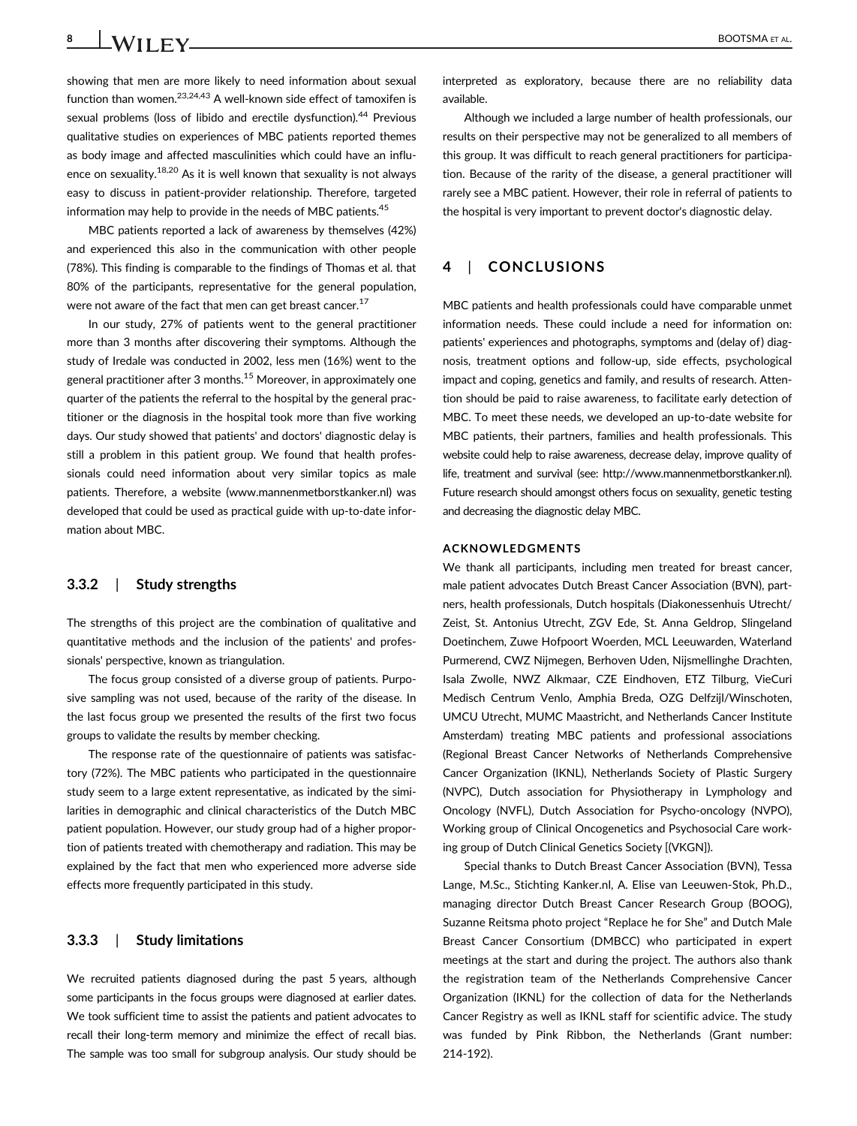8 BOOTSMA ET AL.

showing that men are more likely to need information about sexual function than women.<sup>23,24,43</sup> A well-known side effect of tamoxifen is sexual problems (loss of libido and erectile dysfunction).<sup>44</sup> Previous qualitative studies on experiences of MBC patients reported themes as body image and affected masculinities which could have an influence on sexuality.18,20 As it is well known that sexuality is not always easy to discuss in patient-provider relationship. Therefore, targeted information may help to provide in the needs of MBC patients.<sup>45</sup>

MBC patients reported a lack of awareness by themselves (42%) and experienced this also in the communication with other people (78%). This finding is comparable to the findings of Thomas et al. that 80% of the participants, representative for the general population, were not aware of the fact that men can get breast cancer.<sup>17</sup>

In our study, 27% of patients went to the general practitioner more than 3 months after discovering their symptoms. Although the study of Iredale was conducted in 2002, less men (16%) went to the general practitioner after 3 months.15 Moreover, in approximately one quarter of the patients the referral to the hospital by the general practitioner or the diagnosis in the hospital took more than five working days. Our study showed that patients' and doctors' diagnostic delay is still a problem in this patient group. We found that health professionals could need information about very similar topics as male patients. Therefore, a website [\(www.mannenmetborstkanker.nl](http://www.mannenmetborstkanker.nl)) was developed that could be used as practical guide with up-to-date information about MBC.

#### 3.3.2 | Study strengths

The strengths of this project are the combination of qualitative and quantitative methods and the inclusion of the patients' and professionals' perspective, known as triangulation.

The focus group consisted of a diverse group of patients. Purposive sampling was not used, because of the rarity of the disease. In the last focus group we presented the results of the first two focus groups to validate the results by member checking.

The response rate of the questionnaire of patients was satisfactory (72%). The MBC patients who participated in the questionnaire study seem to a large extent representative, as indicated by the similarities in demographic and clinical characteristics of the Dutch MBC patient population. However, our study group had of a higher proportion of patients treated with chemotherapy and radiation. This may be explained by the fact that men who experienced more adverse side effects more frequently participated in this study.

# 3.3.3 | Study limitations

We recruited patients diagnosed during the past 5 years, although some participants in the focus groups were diagnosed at earlier dates. We took sufficient time to assist the patients and patient advocates to recall their long-term memory and minimize the effect of recall bias. The sample was too small for subgroup analysis. Our study should be interpreted as exploratory, because there are no reliability data available.

Although we included a large number of health professionals, our results on their perspective may not be generalized to all members of this group. It was difficult to reach general practitioners for participation. Because of the rarity of the disease, a general practitioner will rarely see a MBC patient. However, their role in referral of patients to the hospital is very important to prevent doctor's diagnostic delay.

# 4 | CONCLUSIONS

MBC patients and health professionals could have comparable unmet information needs. These could include a need for information on: patients' experiences and photographs, symptoms and (delay of) diagnosis, treatment options and follow-up, side effects, psychological impact and coping, genetics and family, and results of research. Attention should be paid to raise awareness, to facilitate early detection of MBC. To meet these needs, we developed an up-to-date website for MBC patients, their partners, families and health professionals. This website could help to raise awareness, decrease delay, improve quality of life, treatment and survival (see: [http://www.mannenmetborstkanker.nl\)](http://www.mannenmetborstkanker.nl). Future research should amongst others focus on sexuality, genetic testing and decreasing the diagnostic delay MBC.

#### ACKNOWLEDGMENTS

We thank all participants, including men treated for breast cancer, male patient advocates Dutch Breast Cancer Association (BVN), partners, health professionals, Dutch hospitals (Diakonessenhuis Utrecht/ Zeist, St. Antonius Utrecht, ZGV Ede, St. Anna Geldrop, Slingeland Doetinchem, Zuwe Hofpoort Woerden, MCL Leeuwarden, Waterland Purmerend, CWZ Nijmegen, Berhoven Uden, Nijsmellinghe Drachten, Isala Zwolle, NWZ Alkmaar, CZE Eindhoven, ETZ Tilburg, VieCuri Medisch Centrum Venlo, Amphia Breda, OZG Delfzijl/Winschoten, UMCU Utrecht, MUMC Maastricht, and Netherlands Cancer Institute Amsterdam) treating MBC patients and professional associations (Regional Breast Cancer Networks of Netherlands Comprehensive Cancer Organization (IKNL), Netherlands Society of Plastic Surgery (NVPC), Dutch association for Physiotherapy in Lymphology and Oncology (NVFL), Dutch Association for Psycho-oncology (NVPO), Working group of Clinical Oncogenetics and Psychosocial Care working group of Dutch Clinical Genetics Society [(VKGN]).

Special thanks to Dutch Breast Cancer Association (BVN), Tessa Lange, M.Sc., Stichting Kanker.nl, A. Elise van Leeuwen-Stok, Ph.D., managing director Dutch Breast Cancer Research Group (BOOG), Suzanne Reitsma photo project "Replace he for She" and Dutch Male Breast Cancer Consortium (DMBCC) who participated in expert meetings at the start and during the project. The authors also thank the registration team of the Netherlands Comprehensive Cancer Organization (IKNL) for the collection of data for the Netherlands Cancer Registry as well as IKNL staff for scientific advice. The study was funded by Pink Ribbon, the Netherlands (Grant number: 214-192).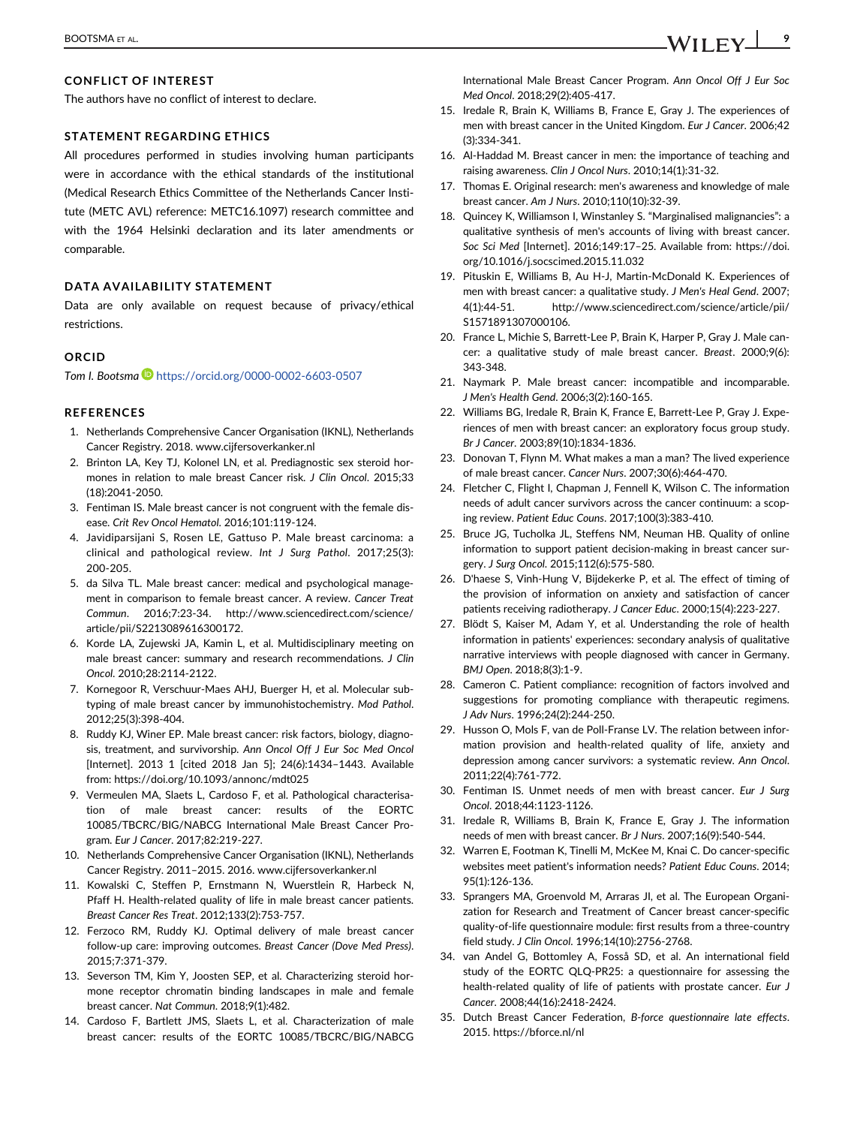The authors have no conflict of interest to declare.

#### STATEMENT REGARDING ETHICS

All procedures performed in studies involving human participants were in accordance with the ethical standards of the institutional (Medical Research Ethics Committee of the Netherlands Cancer Institute (METC AVL) reference: METC16.1097) research committee and with the 1964 Helsinki declaration and its later amendments or comparable.

#### DATA AVAILABILITY STATEMENT

Data are only available on request because of privacy/ethical restrictions.

#### ORCID

Tom I. Bootsma <https://orcid.org/0000-0002-6603-0507>

#### REFERENCES

- 1. Netherlands Comprehensive Cancer Organisation (IKNL), Netherlands Cancer Registry. 2018. [www.cijfersoverkanker.nl](http://www.cijfersoverkanker.nl)
- 2. Brinton LA, Key TJ, Kolonel LN, et al. Prediagnostic sex steroid hormones in relation to male breast Cancer risk. J Clin Oncol. 2015;33 (18):2041-2050.
- 3. Fentiman IS. Male breast cancer is not congruent with the female disease. Crit Rev Oncol Hematol. 2016;101:119-124.
- 4. Javidiparsijani S, Rosen LE, Gattuso P. Male breast carcinoma: a clinical and pathological review. Int J Surg Pathol. 2017;25(3): 200-205.
- 5. da Silva TL. Male breast cancer: medical and psychological management in comparison to female breast cancer. A review. Cancer Treat. Commun. 2016;7:23-34. [http://www.sciencedirect.com/science/](http://www.sciencedirect.com/science/article/pii/S2213089616300172) [article/pii/S2213089616300172](http://www.sciencedirect.com/science/article/pii/S2213089616300172).
- 6. Korde LA, Zujewski JA, Kamin L, et al. Multidisciplinary meeting on male breast cancer: summary and research recommendations. J Clin Oncol. 2010;28:2114-2122.
- 7. Kornegoor R, Verschuur-Maes AHJ, Buerger H, et al. Molecular subtyping of male breast cancer by immunohistochemistry. Mod Pathol. 2012;25(3):398-404.
- 8. Ruddy KJ, Winer EP. Male breast cancer: risk factors, biology, diagnosis, treatment, and survivorship. Ann Oncol Off J Eur Soc Med Oncol [Internet]. 2013 1 [cited 2018 Jan 5]; 24(6):1434–1443. Available from:<https://doi.org/10.1093/annonc/mdt025>
- 9. Vermeulen MA, Slaets L, Cardoso F, et al. Pathological characterisation of male breast cancer: results of the EORTC 10085/TBCRC/BIG/NABCG International Male Breast Cancer Program. Eur J Cancer. 2017;82:219-227.
- 10. Netherlands Comprehensive Cancer Organisation (IKNL), Netherlands Cancer Registry. 2011–2015. 2016. [www.cijfersoverkanker.nl](http://www.cijfersoverkanker.nl)
- 11. Kowalski C, Steffen P, Ernstmann N, Wuerstlein R, Harbeck N, Pfaff H. Health-related quality of life in male breast cancer patients. Breast Cancer Res Treat. 2012;133(2):753-757.
- 12. Ferzoco RM, Ruddy KJ. Optimal delivery of male breast cancer follow-up care: improving outcomes. Breast Cancer (Dove Med Press). 2015;7:371-379.
- 13. Severson TM, Kim Y, Joosten SEP, et al. Characterizing steroid hormone receptor chromatin binding landscapes in male and female breast cancer. Nat Commun. 2018;9(1):482.
- 14. Cardoso F, Bartlett JMS, Slaets L, et al. Characterization of male breast cancer: results of the EORTC 10085/TBCRC/BIG/NABCG

International Male Breast Cancer Program. Ann Oncol Off J Eur Soc Med Oncol. 2018;29(2):405-417.

- 15. Iredale R, Brain K, Williams B, France E, Gray J. The experiences of men with breast cancer in the United Kingdom. Eur J Cancer. 2006;42 (3):334-341.
- 16. Al-Haddad M. Breast cancer in men: the importance of teaching and raising awareness. Clin J Oncol Nurs. 2010;14(1):31-32.
- 17. Thomas E. Original research: men's awareness and knowledge of male breast cancer. Am J Nurs. 2010;110(10):32-39.
- 18. Quincey K, Williamson I, Winstanley S. "Marginalised malignancies": a qualitative synthesis of men's accounts of living with breast cancer. Soc Sci Med [Internet]. 2016;149:17–25. Available from: [https://doi.](https://doi.org/10.1016/j.socscimed.2015.11.032) [org/10.1016/j.socscimed.2015.11.032](https://doi.org/10.1016/j.socscimed.2015.11.032)
- 19. Pituskin E, Williams B, Au H-J, Martin-McDonald K. Experiences of men with breast cancer: a qualitative study. J Men's Heal Gend. 2007; 4(1):44-51. [http://www.sciencedirect.com/science/article/pii/](http://www.sciencedirect.com/science/article/pii/S1571891307000106) [S1571891307000106.](http://www.sciencedirect.com/science/article/pii/S1571891307000106)
- 20. France L, Michie S, Barrett-Lee P, Brain K, Harper P, Gray J. Male cancer: a qualitative study of male breast cancer. Breast. 2000;9(6): 343-348.
- 21. Naymark P. Male breast cancer: incompatible and incomparable. J Men's Health Gend. 2006;3(2):160-165.
- 22. Williams BG, Iredale R, Brain K, France E, Barrett-Lee P, Gray J. Experiences of men with breast cancer: an exploratory focus group study. Br J Cancer. 2003;89(10):1834-1836.
- 23. Donovan T, Flynn M. What makes a man a man? The lived experience of male breast cancer. Cancer Nurs. 2007;30(6):464-470.
- 24. Fletcher C, Flight I, Chapman J, Fennell K, Wilson C. The information needs of adult cancer survivors across the cancer continuum: a scoping review. Patient Educ Couns. 2017;100(3):383-410.
- 25. Bruce JG, Tucholka JL, Steffens NM, Neuman HB. Quality of online information to support patient decision-making in breast cancer surgery. J Surg Oncol. 2015;112(6):575-580.
- 26. D'haese S, Vinh-Hung V, Bijdekerke P, et al. The effect of timing of the provision of information on anxiety and satisfaction of cancer patients receiving radiotherapy. J Cancer Educ. 2000;15(4):223-227.
- 27. Blödt S, Kaiser M, Adam Y, et al. Understanding the role of health information in patients' experiences: secondary analysis of qualitative narrative interviews with people diagnosed with cancer in Germany. BMJ Open. 2018;8(3):1-9.
- 28. Cameron C. Patient compliance: recognition of factors involved and suggestions for promoting compliance with therapeutic regimens. J Adv Nurs. 1996;24(2):244-250.
- 29. Husson O, Mols F, van de Poll-Franse LV. The relation between information provision and health-related quality of life, anxiety and depression among cancer survivors: a systematic review. Ann Oncol. 2011;22(4):761-772.
- 30. Fentiman IS. Unmet needs of men with breast cancer. Eur J Surg Oncol. 2018;44:1123-1126.
- 31. Iredale R, Williams B, Brain K, France E, Gray J. The information needs of men with breast cancer. Br J Nurs. 2007;16(9):540-544.
- 32. Warren E, Footman K, Tinelli M, McKee M, Knai C. Do cancer-specific websites meet patient's information needs? Patient Educ Couns. 2014; 95(1):126-136.
- 33. Sprangers MA, Groenvold M, Arraras JI, et al. The European Organization for Research and Treatment of Cancer breast cancer-specific quality-of-life questionnaire module: first results from a three-country field study. J Clin Oncol. 1996;14(10):2756-2768.
- 34. van Andel G, Bottomley A, Fosså SD, et al. An international field study of the EORTC QLQ-PR25: a questionnaire for assessing the health-related quality of life of patients with prostate cancer. Eur J Cancer. 2008;44(16):2418-2424.
- 35. Dutch Breast Cancer Federation, B-force questionnaire late effects. 2015.<https://bforce.nl/nl>